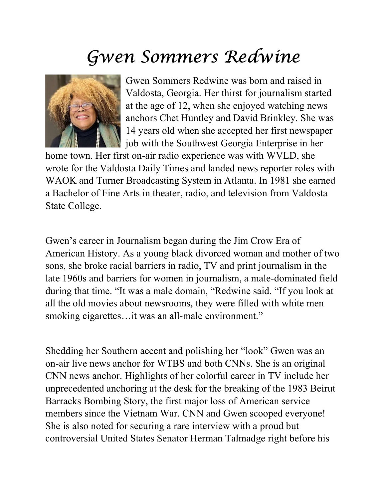## Gwen Sommers Redwine



Gwen Sommers Redwine was born and raised in Valdosta, Georgia. Her thirst for journalism started at the age of 12, when she enjoyed watching news anchors Chet Huntley and David Brinkley. She was 14 years old when she accepted her first newspaper job with the Southwest Georgia Enterprise in her

home town. Her first on-air radio experience was with WVLD, she wrote for the Valdosta Daily Times and landed news reporter roles with WAOK and Turner Broadcasting System in Atlanta. In 1981 she earned a Bachelor of Fine Arts in theater, radio, and television from Valdosta State College.

Gwen's career in Journalism began during the Jim Crow Era of American History. As a young black divorced woman and mother of two sons, she broke racial barriers in radio, TV and print journalism in the late 1960s and barriers for women in journalism, a male-dominated field during that time. "It was a male domain, "Redwine said. "If you look at all the old movies about newsrooms, they were filled with white men smoking cigarettes...it was an all-male environment."

Shedding her Southern accent and polishing her "look" Gwen was an on-air live news anchor for WTBS and both CNNs. She is an original CNN news anchor. Highlights of her colorful career in TV include her unprecedented anchoring at the desk for the breaking of the 1983 Beirut Barracks Bombing Story, the first major loss of American service members since the Vietnam War. CNN and Gwen scooped everyone! She is also noted for securing a rare interview with a proud but controversial United States Senator Herman Talmadge right before his